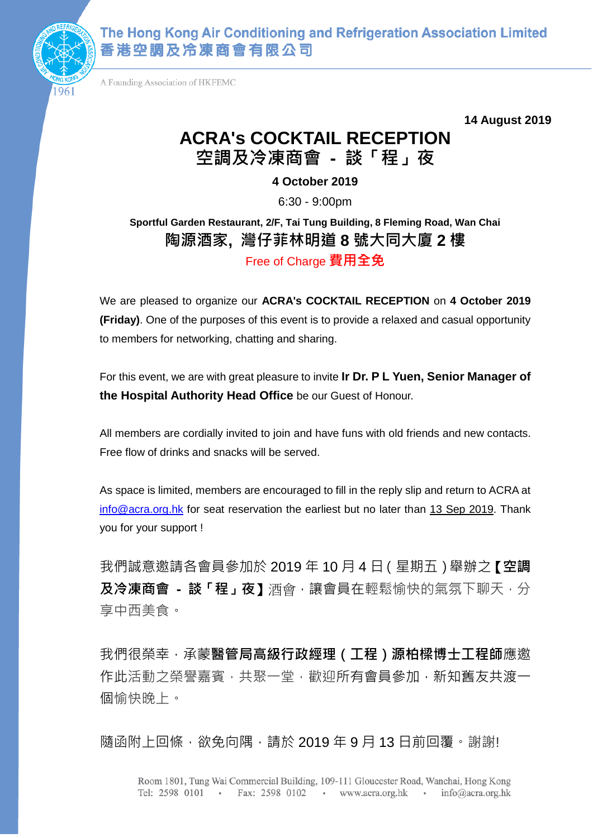

The Hong Kong Air Conditioning and Refrigeration Association Limited 香港空調及冷凍商會有限公司

A Founding Association of HKFEMC

**14 August 2019**

### **ACRA's COCKTAIL RECEPTION 空調及冷凍商會 - 談「程」夜**

**4 October 2019**

6:30 - 9:00pm

#### **Sportful Garden Restaurant, 2/F, Tai Tung Building, 8 Fleming Road, Wan Chai 陶源酒家, 灣仔菲林明道 8 號大同大廈 2 樓** Free of Charge **費用全免**

We are pleased to organize our **ACRA's COCKTAIL RECEPTION** on **4 October 2019 (Friday)**. One of the purposes of this event is to provide a relaxed and casual opportunity to members for networking, chatting and sharing.

For this event, we are with great pleasure to invite **Ir Dr. P L Yuen, Senior Manager of the Hospital Authority Head Office** be our Guest of Honour.

All members are cordially invited to join and have funs with old friends and new contacts. Free flow of drinks and snacks will be served.

As space is limited, members are encouraged to fill in the reply slip and return to ACRA at [info@acra.org.hk](mailto:info@acra.org.hk) for seat reservation the earliest but no later than 13 Sep 2019. Thank you for your support !

我們誠意邀請各會員參加於 2019 年 10 月 4 日(星期五)舉辦之【**空調 及冷凍商會 - 談「程」夜**】酒會,讓會員在輕鬆愉快的氣氛下聊天,分 享中西美食。

我們很榮幸,承蒙**醫管局高級行政經理 ( 工程 ) 源柏樑博士工程師**應邀 作此活動之榮譽嘉賓,共聚一堂,歡迎所有會員參加,新知舊友共渡一 個愉快晚上。

隨函附上回條,欲免向隅,請於 2019 年 9 月 13 日前回覆。謝謝!